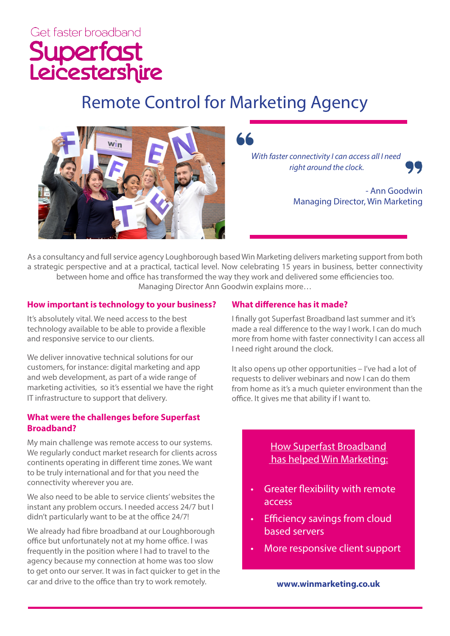# Get faster broadband Superfast<br>Leicestershire

## Remote Control for Marketing Agency



*With faster connectivity I can access all I need right around the clock.* 

> - Ann Goodwin Managing Director, Win Marketing

As a consultancy and full service agency Loughborough based Win Marketing delivers marketing support from both a strategic perspective and at a practical, tactical level. Now celebrating 15 years in business, better connectivity between home and office has transformed the way they work and delivered some efficiencies too. Managing Director Ann Goodwin explains more…

#### **How important is technology to your business?**

It's absolutely vital. We need access to the best technology available to be able to provide a flexible and responsive service to our clients.

We deliver innovative technical solutions for our customers, for instance: digital marketing and app and web development, as part of a wide range of marketing activities, so it's essential we have the right IT infrastructure to support that delivery.

#### **What were the challenges before Superfast Broadband?**

My main challenge was remote access to our systems. We regularly conduct market research for clients across continents operating in different time zones. We want to be truly international and for that you need the connectivity wherever you are.

We also need to be able to service clients' websites the instant any problem occurs. I needed access 24/7 but I didn't particularly want to be at the office 24/7!

We already had fibre broadband at our Loughborough office but unfortunately not at my home office. I was frequently in the position where I had to travel to the agency because my connection at home was too slow to get onto our server. It was in fact quicker to get in the car and drive to the office than try to work remotely.

#### **What difference has it made?**

I finally got Superfast Broadband last summer and it's made a real difference to the way I work. I can do much more from home with faster connectivity I can access all I need right around the clock.

It also opens up other opportunities – I've had a lot of requests to deliver webinars and now I can do them from home as it's a much quieter environment than the office. It gives me that ability if I want to.

### How Superfast Broadband has helped Win Marketing:

- Greater flexibility with remote access
- Efficiency savings from cloud based servers
- More responsive client support

**www.winmarketing.co.uk**